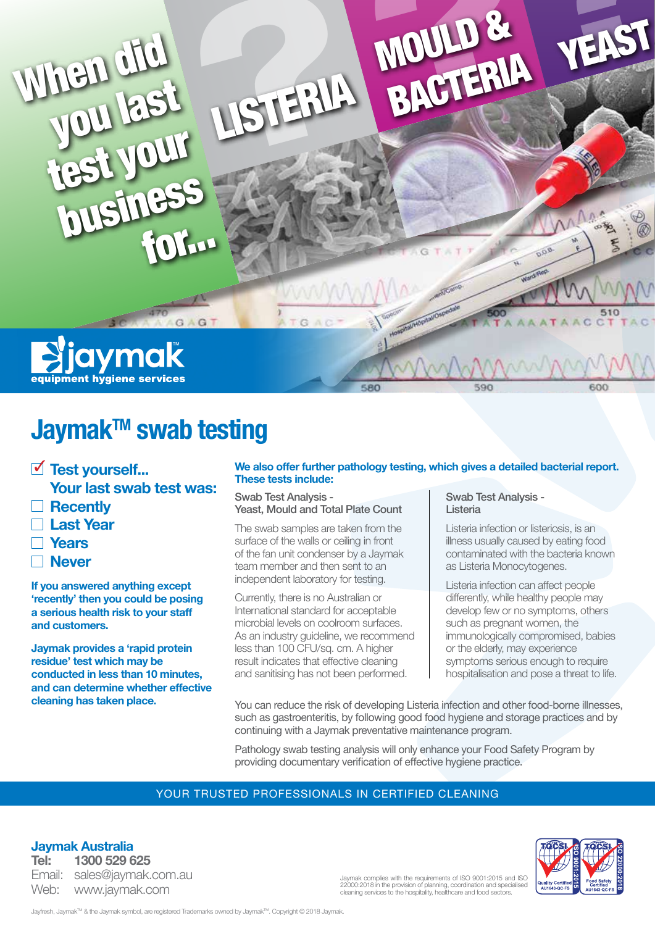

## **Jaymak™ swab testing**

- ✓ **Test yourself... Your last swab test was:**
- **Recently**
- **Last Year**
- **Years**
- **Never**

**If you answered anything except 'recently' then you could be posing a serious health risk to your staff and customers.** 

**Jaymak provides a 'rapid protein residue' test which may be conducted in less than 10 minutes, and can determine whether effective cleaning has taken place.** 

#### **We also offer further pathology testing, which gives a detailed bacterial report. These tests include:**

Swab Test Analysis - Yeast, Mould and Total Plate Count

The swab samples are taken from the surface of the walls or ceiling in front of the fan unit condenser by a Jaymak team member and then sent to an independent laboratory for testing.

Currently, there is no Australian or International standard for acceptable microbial levels on coolroom surfaces. As an industry guideline, we recommend less than 100 CFU/sq. cm. A higher result indicates that effective cleaning and sanitising has not been performed.

#### Swab Test Analysis - Listeria

Listeria infection or listeriosis, is an illness usually caused by eating food contaminated with the bacteria known as Listeria Monocytogenes.

Listeria infection can affect people differently, while healthy people may develop few or no symptoms, others such as pregnant women, the immunologically compromised, babies or the elderly, may experience symptoms serious enough to require hospitalisation and pose a threat to life.

You can reduce the risk of developing Listeria infection and other food-borne illnesses, such as gastroenteritis, by following good food hygiene and storage practices and by continuing with a Jaymak preventative maintenance program.

Pathology swab testing analysis will only enhance your Food Safety Program by providing documentary verification of effective hygiene practice.

#### YOUR TRUSTED PROFESSIONALS IN CERTIFIED CLEANING

**Jaymak Australia**

**Tel: 1300 529 625** Email: sales@jaymak.com.au Web: www.jaymak.com



Jaymak complies with the requirements of ISO 9001:2015 and ISO 22000:2018 in the provision of planning, coordination and specialised cleaning services to the hospitality, healthcare and food sectors.

Jayfresh, Jaymak™ & the Jaymak symbol, are registered Trademarks owned by Jaymak™. Copyright © 2018 Jaymak.